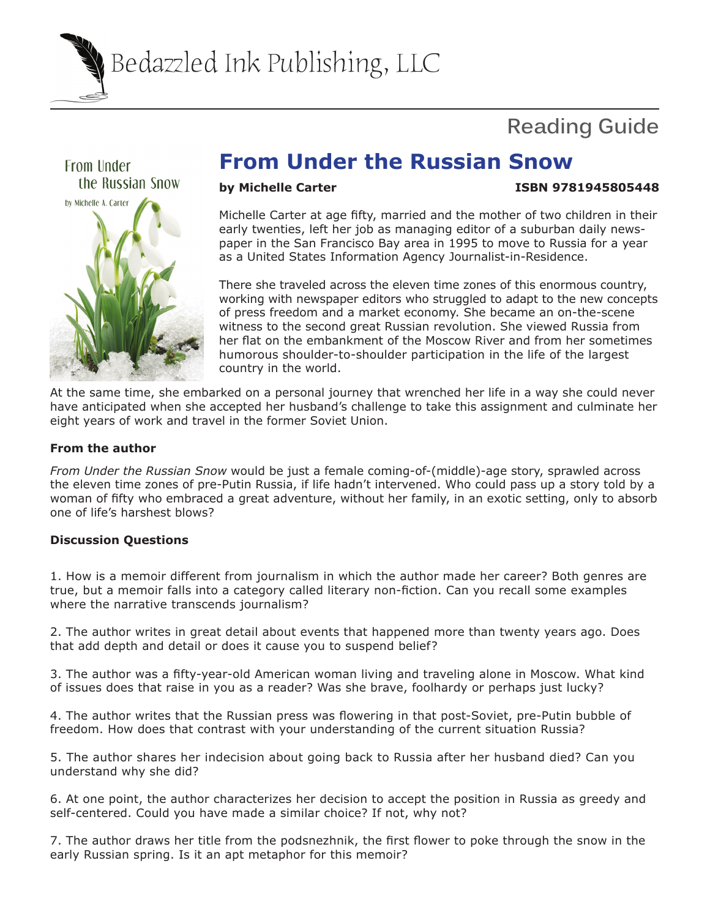Bedazzled Ink Publishing, LLC

# **Reading Guide**



## **From Under the Russian Snow**

### **by Michelle Carter Structure 1SBN 9781945805448**

Michelle Carter at age fifty, married and the mother of two children in their early twenties, left her job as managing editor of a suburban daily newspaper in the San Francisco Bay area in 1995 to move to Russia for a year as a United States Information Agency Journalist-in-Residence.

There she traveled across the eleven time zones of this enormous country, working with newspaper editors who struggled to adapt to the new concepts of press freedom and a market economy. She became an on-the-scene witness to the second great Russian revolution. She viewed Russia from her flat on the embankment of the Moscow River and from her sometimes humorous shoulder-to-shoulder participation in the life of the largest country in the world.

At the same time, she embarked on a personal journey that wrenched her life in a way she could never have anticipated when she accepted her husband's challenge to take this assignment and culminate her eight years of work and travel in the former Soviet Union.

#### **From the author**

*From Under the Russian Snow* would be just a female coming-of-(middle)-age story, sprawled across the eleven time zones of pre-Putin Russia, if life hadn't intervened. Who could pass up a story told by a woman of fifty who embraced a great adventure, without her family, in an exotic setting, only to absorb one of life's harshest blows?

#### **Discussion Questions**

1. How is a memoir different from journalism in which the author made her career? Both genres are true, but a memoir falls into a category called literary non-fiction. Can you recall some examples where the narrative transcends journalism?

2. The author writes in great detail about events that happened more than twenty years ago. Does that add depth and detail or does it cause you to suspend belief?

3. The author was a fifty-year-old American woman living and traveling alone in Moscow. What kind of issues does that raise in you as a reader? Was she brave, foolhardy or perhaps just lucky?

4. The author writes that the Russian press was flowering in that post-Soviet, pre-Putin bubble of freedom. How does that contrast with your understanding of the current situation Russia?

5. The author shares her indecision about going back to Russia after her husband died? Can you understand why she did?

6. At one point, the author characterizes her decision to accept the position in Russia as greedy and self-centered. Could you have made a similar choice? If not, why not?

7. The author draws her title from the podsnezhnik, the first flower to poke through the snow in the early Russian spring. Is it an apt metaphor for this memoir?